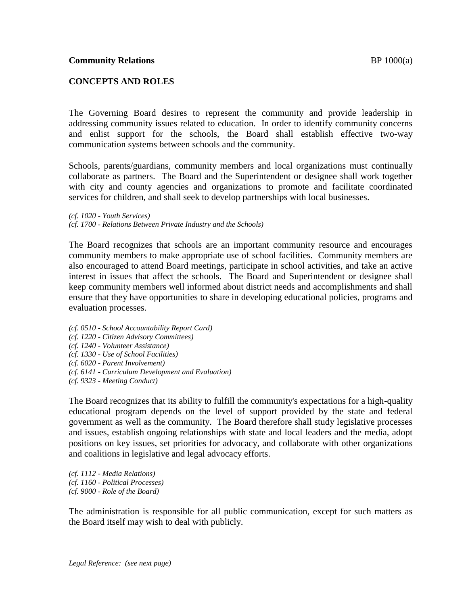## **CONCEPTS AND ROLES**

The Governing Board desires to represent the community and provide leadership in addressing community issues related to education. In order to identify community concerns and enlist support for the schools, the Board shall establish effective two-way communication systems between schools and the community.

Schools, parents/guardians, community members and local organizations must continually collaborate as partners. The Board and the Superintendent or designee shall work together with city and county agencies and organizations to promote and facilitate coordinated services for children, and shall seek to develop partnerships with local businesses.

*(cf. 1020 - Youth Services) (cf. 1700 - Relations Between Private Industry and the Schools)*

The Board recognizes that schools are an important community resource and encourages community members to make appropriate use of school facilities. Community members are also encouraged to attend Board meetings, participate in school activities, and take an active interest in issues that affect the schools. The Board and Superintendent or designee shall keep community members well informed about district needs and accomplishments and shall ensure that they have opportunities to share in developing educational policies, programs and evaluation processes.

- *(cf. 0510 - School Accountability Report Card)*
- *(cf. 1220 - Citizen Advisory Committees)*
- *(cf. 1240 - Volunteer Assistance)*
- *(cf. 1330 - Use of School Facilities)*
- *(cf. 6020 - Parent Involvement)*
- *(cf. 6141 - Curriculum Development and Evaluation)*
- *(cf. 9323 - Meeting Conduct)*

The Board recognizes that its ability to fulfill the community's expectations for a high-quality educational program depends on the level of support provided by the state and federal government as well as the community. The Board therefore shall study legislative processes and issues, establish ongoing relationships with state and local leaders and the media, adopt positions on key issues, set priorities for advocacy, and collaborate with other organizations and coalitions in legislative and legal advocacy efforts.

*(cf. 1112 - Media Relations) (cf. 1160 - Political Processes) (cf. 9000 - Role of the Board)*

The administration is responsible for all public communication, except for such matters as the Board itself may wish to deal with publicly.